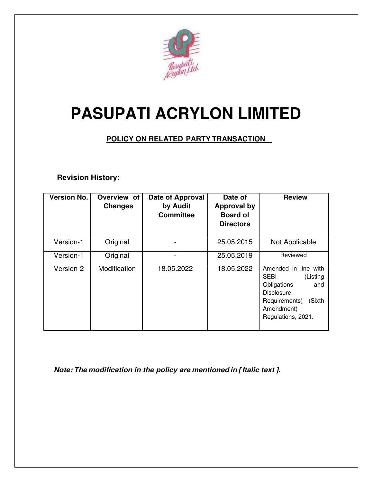

# **PASUPATI ACRYLON LIMITED**

# **POLICY ON RELATED PARTY TRANSACTION**

## **Revision History:**

| <b>Version No.</b> | Overview of<br><b>Changes</b> | Date of Approval<br>by Audit<br><b>Committee</b> | Date of<br><b>Approval by</b><br><b>Board of</b><br><b>Directors</b> | <b>Review</b>                                                                                                                                             |
|--------------------|-------------------------------|--------------------------------------------------|----------------------------------------------------------------------|-----------------------------------------------------------------------------------------------------------------------------------------------------------|
| Version-1          | Original                      |                                                  | 25.05.2015                                                           | Not Applicable                                                                                                                                            |
| Version-1          | Original                      |                                                  | 25.05.2019                                                           | Reviewed                                                                                                                                                  |
| Version-2          | Modification                  | 18.05.2022                                       | 18.05.2022                                                           | Amended in line with<br><b>SEBI</b><br>(Listing<br>Obligations<br>and<br><b>Disclosure</b><br>Requirements)<br>(Sixth<br>Amendment)<br>Regulations, 2021. |

 *Note: The modification in the policy are mentioned in [ Italic text ].*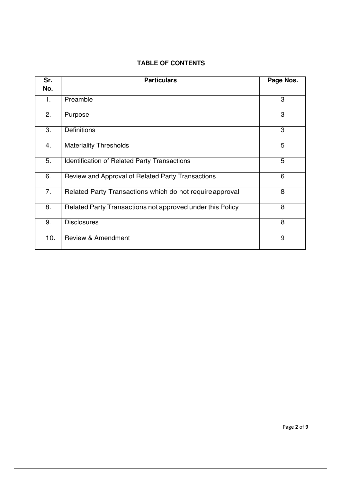#### **TABLE OF CONTENTS**

| Sr. | <b>Particulars</b>                                        | Page Nos. |
|-----|-----------------------------------------------------------|-----------|
| No. |                                                           |           |
| 1.  | Preamble                                                  | 3         |
| 2.  | Purpose                                                   | 3         |
| 3.  | <b>Definitions</b>                                        | 3         |
| 4.  | <b>Materiality Thresholds</b>                             | 5         |
| 5.  | <b>Identification of Related Party Transactions</b>       | 5         |
| 6.  | Review and Approval of Related Party Transactions         | 6         |
| 7.  | Related Party Transactions which do not require approval  | 8         |
| 8.  | Related Party Transactions not approved under this Policy | 8         |
| 9.  | <b>Disclosures</b>                                        | 8         |
| 10. | <b>Review &amp; Amendment</b>                             | 9         |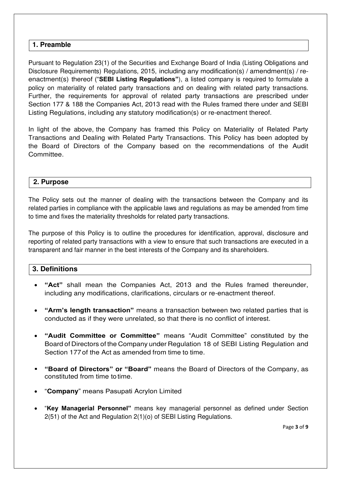## **1. Preamble**

Pursuant to Regulation 23(1) of the Securities and Exchange Board of India (Listing Obligations and Disclosure Requirements) Regulations, 2015, including any modification(s) / amendment(s) / reenactment(s) thereof ("**SEBI Listing Regulations"**), a listed company is required to formulate a policy on materiality of related party transactions and on dealing with related party transactions. Further, the requirements for approval of related party transactions are prescribed under Section 177 & 188 the Companies Act, 2013 read with the Rules framed there under and SEBI Listing Regulations, including any statutory modification(s) or re-enactment thereof.

In light of the above, the Company has framed this Policy on Materiality of Related Party Transactions and Dealing with Related Party Transactions. This Policy has been adopted by the Board of Directors of the Company based on the recommendations of the Audit Committee.

## **2. Purpose**

The Policy sets out the manner of dealing with the transactions between the Company and its related parties in compliance with the applicable laws and regulations as may be amended from time to time and fixes the materiality thresholds for related party transactions.

The purpose of this Policy is to outline the procedures for identification, approval, disclosure and reporting of related party transactions with a view to ensure that such transactions are executed in a transparent and fair manner in the best interests of the Company and its shareholders.

#### **3. Definitions**

- **"Act"** shall mean the Companies Act, 2013 and the Rules framed thereunder, including any modifications, clarifications, circulars or re-enactment thereof.
- **"Arm's length transaction"** means a transaction between two related parties that is conducted as if they were unrelated, so that there is no conflict of interest.
- **"Audit Committee or Committee"** means "Audit Committee" constituted by the Board of Directors of the Company under Regulation 18 of SEBI Listing Regulation and Section 177 of the Act as amended from time to time.
- **"Board of Directors" or "Board"** means the Board of Directors of the Company, as constituted from time to time.
- "**Company**" means Pasupati Acrylon Limited
- "**Key Managerial Personnel"** means key managerial personnel as defined under Section 2(51) of the Act and Regulation 2(1)(o) of SEBI Listing Regulations.

Page **3** of **9**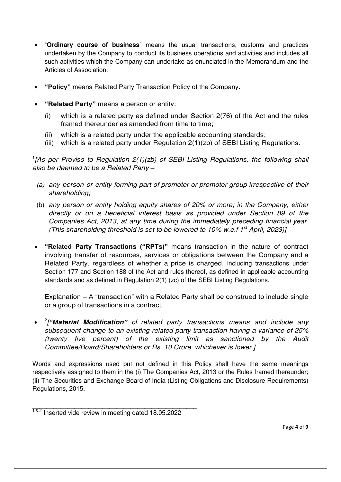- "**Ordinary course of business**" means the usual transactions, customs and practices undertaken by the Company to conduct its business operations and activities and includes all such activities which the Company can undertake as enunciated in the Memorandum and the Articles of Association.
- **"Policy"** means Related Party Transaction Policy of the Company.
- **"Related Party"** means a person or entity:
	- (i) which is a related party as defined under Section 2(76) of the Act and the rules framed thereunder as amended from time to time;
	- (ii) which is a related party under the applicable accounting standards;
	- (iii) which is a related party under Regulation 2(1)(zb) of SEBI Listing Regulations.

<sup>1</sup>[As per Proviso to Regulation 2(1)(zb) of SEBI Listing Regulations, the following shall *also be deemed to be a Related Party –*

- *(a) any person or entity forming part of promoter or promoter group irrespective of their shareholding;*
- (b) *any person or entity holding equity shares of 20% or more; in the Company, either directly or on a beneficial interest basis as provided under Section 89 of the Companies Act, 2013, at any time during the immediately preceding financial year. (This shareholding threshold is set to be lowered to 10% w.e.f 1st April, 2023)]*
- **"Related Party Transactions ("RPTs)"** means transaction in the nature of contract involving transfer of resources, services or obligations between the Company and a Related Party, regardless of whether a price is charged, including transactions under Section 177 and Section 188 of the Act and rules thereof, as defined in applicable accounting standards and as defined in Regulation 2(1) (zc) of the SEBI Listing Regulations.

Explanation – A "transaction" with a Related Party shall be construed to include single or a group of transactions in a contract.

 2 *["Material Modification" of related party transactions means and include any subsequent change to an existing related party transaction having a variance of 25% (twenty five percent) of the existing limit as sanctioned by the Audit Committee/Board/Shareholders or Rs. 10 Crore, whichever is lower.]*

Words and expressions used but not defined in this Policy shall have the same meanings respectively assigned to them in the (i) The Companies Act, 2013 or the Rules framed thereunder; (ii) The Securities and Exchange Board of India (Listing Obligations and Disclosure Requirements) Regulations, 2015.

\_\_\_\_\_\_\_\_\_\_\_\_\_\_\_\_\_\_\_\_\_\_\_\_\_\_\_\_\_\_\_\_\_\_\_\_\_\_\_\_\_\_\_\_\_\_\_  $1<sup>8.2</sup>$  Inserted vide review in meeting dated 18.05.2022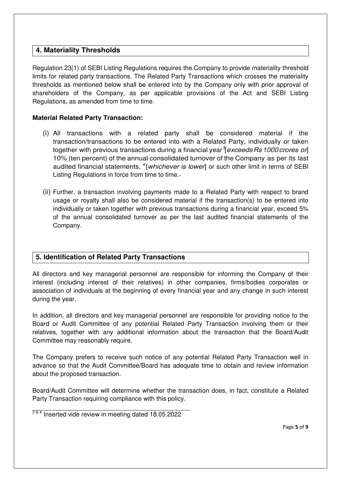## **4. Materiality Thresholds**

Regulation 23(1) of SEBI Listing Regulations requires the Company to provide materiality threshold limits for related party transactions. The Related Party Transactions which crosses the materiality thresholds as mentioned below shall be entered into by the Company only with prior approval of shareholders of the Company, as per applicable provisions of the Act and SEBI Listing Regulations, as amended from time to time.

## **Material Related Party Transaction:**

- (i) All transactions with a related party shall be considered material if the transaction/transactions to be entered into with a Related Party, individually or taken together with previous transactions during a financial year <sup>3</sup>[*exceeds Rs1000 crores or*] 10% (ten percent) of the annual consolidated turnover of the Company as per its last audited financial statements, <sup>4</sup>[*whichever is lower*] or such other limit in terms of SEBI Listing Regulations in force from time to time.
- (ii) Further, a transaction involving payments made to a Related Party with respect to brand usage or royalty shall also be considered material if the transaction(s) to be entered into individually or taken together with previous transactions during a financial year, exceed 5% of the annual consolidated turnover as per the last audited financial statements of the Company.

## **5. Identification of Related Party Transactions**

All directors and key managerial personnel are responsible for informing the Company of their interest (including interest of their relatives) in other companies, firms/bodies corporates or association of individuals at the beginning of every financial year and any change in such interest during the year.

In addition, all directors and key managerial personnel are responsible for providing notice to the Board or Audit Committee of any potential Related Party Transaction involving them or their relatives, together with any additional information about the transaction that the Board/Audit Committee may reasonably require.

The Company prefers to receive such notice of any potential Related Party Transaction well in advance so that the Audit Committee/Board has adequate time to obtain and review information about the proposed transaction.

Board/Audit Committee will determine whether the transaction does, in fact, constitute a Related Party Transaction requiring compliance with this policy.

\_\_\_\_\_\_\_\_\_\_\_\_\_\_\_\_\_\_\_\_\_\_\_\_\_\_\_\_\_\_\_\_\_\_\_\_\_\_\_\_\_\_\_\_\_  $3<sup>3</sup>$ <sup>4</sup> Inserted vide review in meeting dated 18.05.2022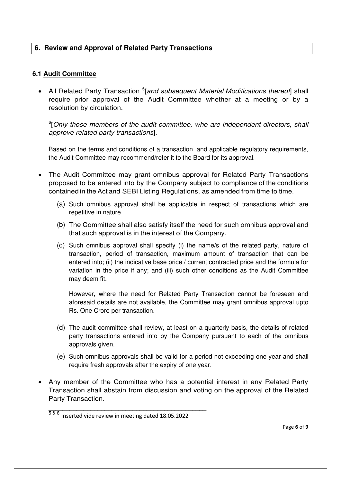## **6. Review and Approval of Related Party Transactions**

#### **6.1 Audit Committee**

• All Related Party Transaction <sup>5</sup>[and subsequent Material Modifications thereof] shall require prior approval of the Audit Committee whether at a meeting or by a resolution by circulation.

6 [*Only those members of the audit committee, who are independent directors, shall approve related party transactions*].

Based on the terms and conditions of a transaction, and applicable regulatory requirements, the Audit Committee may recommend/refer it to the Board for its approval.

- The Audit Committee may grant omnibus approval for Related Party Transactions proposed to be entered into by the Company subject to compliance of the conditions contained in the Act and SEBI Listing Regulations, as amended from time to time.
	- (a) Such omnibus approval shall be applicable in respect of transactions which are repetitive in nature.
	- (b) The Committee shall also satisfy itself the need for such omnibus approval and that such approval is in the interest of the Company.
	- (c) Such omnibus approval shall specify (i) the name/s of the related party, nature of transaction, period of transaction, maximum amount of transaction that can be entered into; (ii) the indicative base price / current contracted price and the formula for variation in the price if any; and (iii) such other conditions as the Audit Committee may deem fit.

However, where the need for Related Party Transaction cannot be foreseen and aforesaid details are not available, the Committee may grant omnibus approval upto Rs. One Crore per transaction.

- (d) The audit committee shall review, at least on a quarterly basis, the details of related party transactions entered into by the Company pursuant to each of the omnibus approvals given.
- (e) Such omnibus approvals shall be valid for a period not exceeding one year and shall require fresh approvals after the expiry of one year.
- Any member of the Committee who has a potential interest in any Related Party Transaction shall abstain from discussion and voting on the approval of the Related Party Transaction.

\_\_\_\_\_\_\_\_\_\_\_\_\_\_\_\_\_\_\_\_\_\_\_\_\_\_\_\_\_\_\_\_\_\_\_\_\_\_\_\_\_\_\_\_\_

 $586$  Inserted vide review in meeting dated 18.05.2022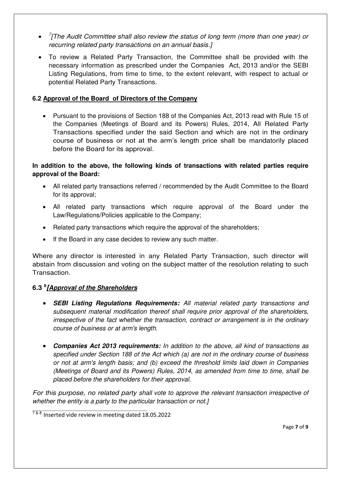- *7 [The Audit Committee shall also review the status of long term (more than one year) or recurring related party transactions on an annual basis.]*
- To review a Related Party Transaction, the Committee shall be provided with the necessary information as prescribed under the Companies Act, 2013 and/or the SEBI Listing Regulations, from time to time, to the extent relevant, with respect to actual or potential Related Party Transactions.

#### **6.2 Approval of the Board of Directors of the Company**

 Pursuant to the provisions of Section 188 of the Companies Act, 2013 read with Rule 15 of the Companies (Meetings of Board and its Powers) Rules, 2014, All Related Party Transactions specified under the said Section and which are not in the ordinary course of business or not at the arm's length price shall be mandatorily placed before the Board for its approval.

#### **In addition to the above, the following kinds of transactions with related parties require approval of the Board:**

- All related party transactions referred / recommended by the Audit Committee to the Board for its approval;
- All related party transactions which require approval of the Board under the Law/Regulations/Policies applicable to the Company;
- Related party transactions which require the approval of the shareholders;
- If the Board in any case decides to review any such matter.

Where any director is interested in any Related Party Transaction, such director will abstain from discussion and voting on the subject matter of the resolution relating to such Transaction.

## **6.3 <sup>8</sup>** *[Approval of the Shareholders*

- *SEBI Listing Regulations Requirements: All material related party transactions and subsequent material modification thereof shall require prior approval of the shareholders, irrespective of the fact whether the transaction, contract or arrangement is in the ordinary course of business or at arm's length.*
- *Companies Act 2013 requirements: In addition to the above, all kind of transactions as specified under Section 188 of the Act which (a) are not in the ordinary course of business or not at arm's length basis; and (b) exceed the threshold limits laid down in Companies (Meetings of Board and its Powers) Rules, 2014, as amended from time to time, shall be placed before the shareholders for their approval.*

*For this purpose, no related party shall vote to approve the relevant transaction irrespective of whether the entity is a party to the particular transaction or not.]*

\_\_\_\_\_\_\_\_\_\_\_\_\_\_\_\_\_\_\_\_\_\_\_\_\_\_\_\_\_\_\_\_\_\_\_\_\_\_\_\_\_\_\_\_\_

<sup>&</sup>lt;sup>7 & 8</sup> Inserted vide review in meeting dated 18.05.2022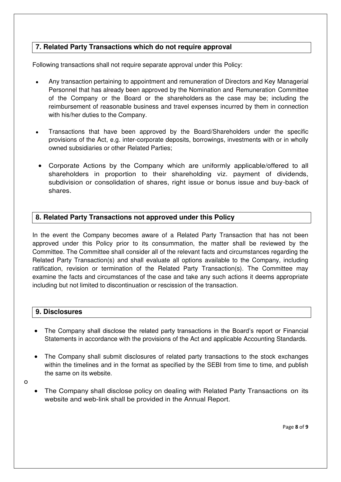## **7. Related Party Transactions which do not require approval**

Following transactions shall not require separate approval under this Policy:

- Any transaction pertaining to appointment and remuneration of Directors and Key Managerial Personnel that has already been approved by the Nomination and Remuneration Committee of the Company or the Board or the shareholders as the case may be; including the reimbursement of reasonable business and travel expenses incurred by them in connection with his/her duties to the Company.
- Transactions that have been approved by the Board/Shareholders under the specific provisions of the Act, e.g. inter-corporate deposits, borrowings, investments with or in wholly owned subsidiaries or other Related Parties;
- Corporate Actions by the Company which are uniformly applicable/offered to all shareholders in proportion to their shareholding viz. payment of dividends, subdivision or consolidation of shares, right issue or bonus issue and buy-back of shares.

## **8. Related Party Transactions not approved under this Policy**

In the event the Company becomes aware of a Related Party Transaction that has not been approved under this Policy prior to its consummation, the matter shall be reviewed by the Committee. The Committee shall consider all of the relevant facts and circumstances regarding the Related Party Transaction(s) and shall evaluate all options available to the Company, including ratification, revision or termination of the Related Party Transaction(s). The Committee may examine the facts and circumstances of the case and take any such actions it deems appropriate including but not limited to discontinuation or rescission of the transaction.

## **9. Disclosures**

- The Company shall disclose the related party transactions in the Board's report or Financial Statements in accordance with the provisions of the Act and applicable Accounting Standards.
- The Company shall submit disclosures of related party transactions to the stock exchanges within the timelines and in the format as specified by the SEBI from time to time, and publish the same on its website.

o

 The Company shall disclose policy on dealing with Related Party Transactions on its website and web-link shall be provided in the Annual Report.